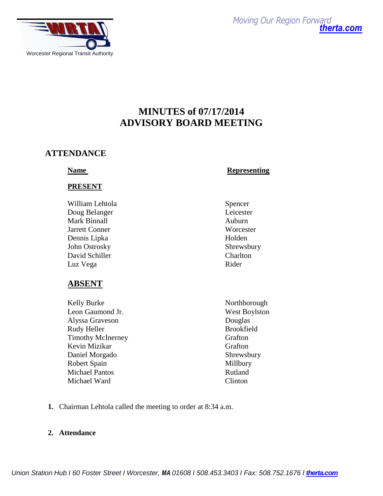

*Moving Our Region Forward [therta.com](http://therta.com/)*

# **MINUTES of 07/17/2014 ADVISORY BOARD MEETING**

# **ATTENDANCE**

### **PRESENT**

William Lehtola Spencer Doug Belanger Leicester Mark Binnall **Auburn** Jarrett Conner Worcester Dennis Lipka Holden John Ostrosky Shrewsbury David Schiller Charlton Luz Vega Rider

# **ABSENT**

Kelly Burke Northborough Leon Gaumond Jr. West Boylston Alyssa Graveson Douglas Rudy Heller Brookfield Timothy McInerney Grafton Kevin Mizikar Grafton Daniel Morgado Shrewsbury Robert Spain Millbury Michael Pantos Rutland Michael Ward Clinton

# **Name** Representing

- 
- 
- **1.** Chairman Lehtola called the meeting to order at 8:34 a.m.

#### **2. Attendance**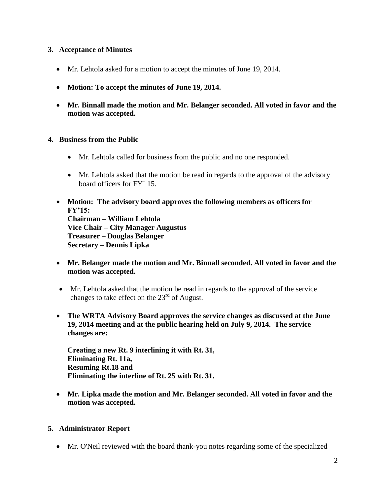#### **3. Acceptance of Minutes**

- Mr. Lehtola asked for a motion to accept the minutes of June 19, 2014.
- **Motion: To accept the minutes of June 19, 2014.**
- **Mr. Binnall made the motion and Mr. Belanger seconded. All voted in favor and the motion was accepted.**

#### **4. Business from the Public**

- Mr. Lehtola called for business from the public and no one responded.
- Mr. Lehtola asked that the motion be read in regards to the approval of the advisory board officers for FY` 15.
- **Motion: The advisory board approves the following members as officers for FY'15: Chairman – William Lehtola Vice Chair – City Manager Augustus Treasurer – Douglas Belanger Secretary – Dennis Lipka**
- **Mr. Belanger made the motion and Mr. Binnall seconded. All voted in favor and the motion was accepted.**
- Mr. Lehtola asked that the motion be read in regards to the approval of the service changes to take effect on the  $23<sup>rd</sup>$  of August.
- **The WRTA Advisory Board approves the service changes as discussed at the June 19, 2014 meeting and at the public hearing held on July 9, 2014. The service changes are:**

**Creating a new Rt. 9 interlining it with Rt. 31, Eliminating Rt. 11a, Resuming Rt.18 and Eliminating the interline of Rt. 25 with Rt. 31.** 

 **Mr. Lipka made the motion and Mr. Belanger seconded. All voted in favor and the motion was accepted.** 

#### **5. Administrator Report**

Mr. O'Neil reviewed with the board thank-you notes regarding some of the specialized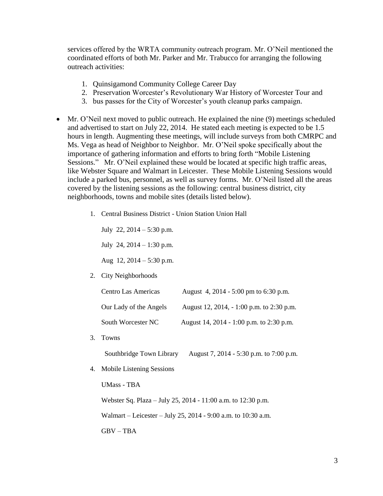services offered by the WRTA community outreach program. Mr. O'Neil mentioned the coordinated efforts of both Mr. Parker and Mr. Trabucco for arranging the following outreach activities:

- 1. Quinsigamond Community College Career Day
- 2. Preservation Worcester's Revolutionary War History of Worcester Tour and
- 3. bus passes for the City of Worcester's youth cleanup parks campaign.
- Mr. O'Neil next moved to public outreach. He explained the nine (9) meetings scheduled and advertised to start on July 22, 2014. He stated each meeting is expected to be 1.5 hours in length. Augmenting these meetings, will include surveys from both CMRPC and Ms. Vega as head of Neighbor to Neighbor. Mr. O'Neil spoke specifically about the importance of gathering information and efforts to bring forth "Mobile Listening Sessions." Mr. O'Neil explained these would be located at specific high traffic areas, like Webster Square and Walmart in Leicester. These Mobile Listening Sessions would include a parked bus, personnel, as well as survey forms. Mr. O'Neil listed all the areas covered by the listening sessions as the following: central business district, city neighborhoods, towns and mobile sites (details listed below).
	- 1. Central Business District Union Station Union Hall

July 22, 2014 – 5:30 p.m. July 24,  $2014 - 1:30$  p.m.

Aug 12, 2014 – 5:30 p.m.

2. City Neighborhoods

| <b>Centro Las Americas</b> | August 4, 2014 - 5:00 pm to 6:30 p.m.     |
|----------------------------|-------------------------------------------|
| Our Lady of the Angels     | August 12, 2014, - 1:00 p.m. to 2:30 p.m. |
| South Worcester NC         | August 14, 2014 - 1:00 p.m. to 2:30 p.m.  |

3. Towns

Southbridge Town Library August 7, 2014 - 5:30 p.m. to 7:00 p.m.

4. Mobile Listening Sessions

UMass - TBA

Webster Sq. Plaza – July 25, 2014 - 11:00 a.m. to 12:30 p.m.

Walmart – Leicester – July 25, 2014 - 9:00 a.m. to 10:30 a.m.

 $GBV - TBA$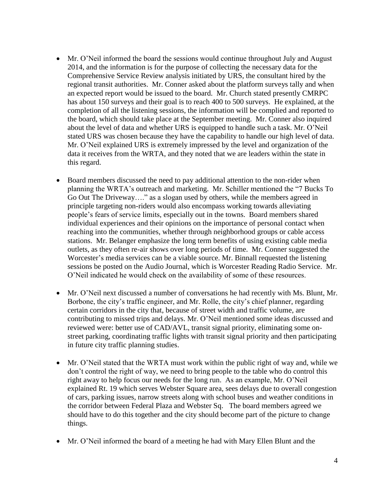- Mr. O'Neil informed the board the sessions would continue throughout July and August 2014, and the information is for the purpose of collecting the necessary data for the Comprehensive Service Review analysis initiated by URS, the consultant hired by the regional transit authorities. Mr. Conner asked about the platform surveys tally and when an expected report would be issued to the board. Mr. Church stated presently CMRPC has about 150 surveys and their goal is to reach 400 to 500 surveys. He explained, at the completion of all the listening sessions, the information will be complied and reported to the board, which should take place at the September meeting. Mr. Conner also inquired about the level of data and whether URS is equipped to handle such a task. Mr. O'Neil stated URS was chosen because they have the capability to handle our high level of data. Mr. O'Neil explained URS is extremely impressed by the level and organization of the data it receives from the WRTA, and they noted that we are leaders within the state in this regard.
- Board members discussed the need to pay additional attention to the non-rider when planning the WRTA's outreach and marketing. Mr. Schiller mentioned the "7 Bucks To Go Out The Driveway…." as a slogan used by others, while the members agreed in principle targeting non-riders would also encompass working towards alleviating people's fears of service limits, especially out in the towns. Board members shared individual experiences and their opinions on the importance of personal contact when reaching into the communities, whether through neighborhood groups or cable access stations. Mr. Belanger emphasize the long term benefits of using existing cable media outlets, as they often re-air shows over long periods of time. Mr. Conner suggested the Worcester's media services can be a viable source. Mr. Binnall requested the listening sessions be posted on the Audio Journal, which is Worcester Reading Radio Service. Mr. O'Neil indicated he would check on the availability of some of these resources.
- Mr. O'Neil next discussed a number of conversations he had recently with Ms. Blunt, Mr. Borbone, the city's traffic engineer, and Mr. Rolle, the city's chief planner, regarding certain corridors in the city that, because of street width and traffic volume, are contributing to missed trips and delays. Mr. O'Neil mentioned some ideas discussed and reviewed were: better use of CAD/AVL, transit signal priority, eliminating some onstreet parking, coordinating traffic lights with transit signal priority and then participating in future city traffic planning studies.
- Mr. O'Neil stated that the WRTA must work within the public right of way and, while we don't control the right of way, we need to bring people to the table who do control this right away to help focus our needs for the long run. As an example, Mr. O'Neil explained Rt. 19 which serves Webster Square area, sees delays due to overall congestion of cars, parking issues, narrow streets along with school buses and weather conditions in the corridor between Federal Plaza and Webster Sq. The board members agreed we should have to do this together and the city should become part of the picture to change things.
- Mr. O'Neil informed the board of a meeting he had with Mary Ellen Blunt and the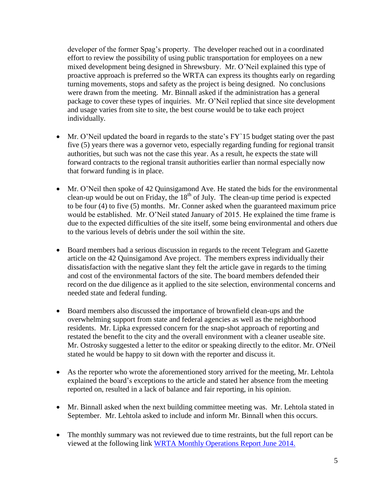developer of the former Spag's property. The developer reached out in a coordinated effort to review the possibility of using public transportation for employees on a new mixed development being designed in Shrewsbury. Mr. O'Neil explained this type of proactive approach is preferred so the WRTA can express its thoughts early on regarding turning movements, stops and safety as the project is being designed. No conclusions were drawn from the meeting. Mr. Binnall asked if the administration has a general package to cover these types of inquiries. Mr. O'Neil replied that since site development and usage varies from site to site, the best course would be to take each project individually.

- Mr. O'Neil updated the board in regards to the state's FY`15 budget stating over the past five (5) years there was a governor veto, especially regarding funding for regional transit authorities, but such was not the case this year. As a result, he expects the state will forward contracts to the regional transit authorities earlier than normal especially now that forward funding is in place.
- Mr. O'Neil then spoke of 42 Quinsigamond Ave. He stated the bids for the environmental clean-up would be out on Friday, the  $18<sup>th</sup>$  of July. The clean-up time period is expected to be four (4) to five (5) months. Mr. Conner asked when the guaranteed maximum price would be established. Mr. O'Neil stated January of 2015. He explained the time frame is due to the expected difficulties of the site itself, some being environmental and others due to the various levels of debris under the soil within the site.
- Board members had a serious discussion in regards to the recent Telegram and Gazette article on the 42 Quinsigamond Ave project. The members express individually their dissatisfaction with the negative slant they felt the article gave in regards to the timing and cost of the environmental factors of the site. The board members defended their record on the due diligence as it applied to the site selection, environmental concerns and needed state and federal funding.
- Board members also discussed the importance of brownfield clean-ups and the overwhelming support from state and federal agencies as well as the neighborhood residents. Mr. Lipka expressed concern for the snap-shot approach of reporting and restated the benefit to the city and the overall environment with a cleaner useable site. Mr. Ostrosky suggested a letter to the editor or speaking directly to the editor. Mr. O'Neil stated he would be happy to sit down with the reporter and discuss it.
- As the reporter who wrote the aforementioned story arrived for the meeting, Mr. Lehtola explained the board's exceptions to the article and stated her absence from the meeting reported on, resulted in a lack of balance and fair reporting, in his opinion.
- Mr. Binnall asked when the next building committee meeting was. Mr. Lehtola stated in September. Mr. Lehtola asked to include and inform Mr. Binnall when this occurs.
- The monthly summary was not reviewed due to time restraints, but the full report can be viewed at the following link [WRTA Monthly Operations Report June 2014.](http://www.therta.com/wp-content/uploads/2014/07/June-2014-WRTA-Monthly-Report.pdf)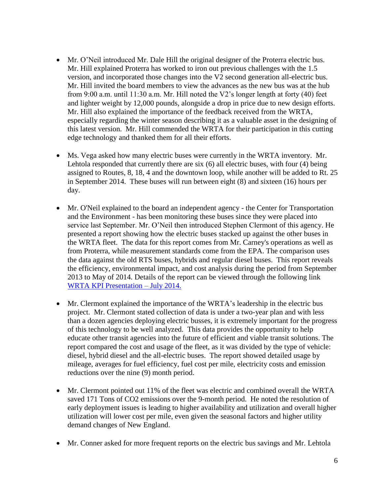- Mr. O'Neil introduced Mr. Dale Hill the original designer of the Proterra electric bus. Mr. Hill explained Proterra has worked to iron out previous challenges with the 1.5 version, and incorporated those changes into the V2 second generation all-electric bus. Mr. Hill invited the board members to view the advances as the new bus was at the hub from 9:00 a.m. until 11:30 a.m. Mr. Hill noted the V2's longer length at forty (40) feet and lighter weight by 12,000 pounds, alongside a drop in price due to new design efforts. Mr. Hill also explained the importance of the feedback received from the WRTA, especially regarding the winter season describing it as a valuable asset in the designing of this latest version. Mr. Hill commended the WRTA for their participation in this cutting edge technology and thanked them for all their efforts.
- Ms. Vega asked how many electric buses were currently in the WRTA inventory. Mr. Lehtola responded that currently there are six (6) all electric buses, with four (4) being assigned to Routes, 8, 18, 4 and the downtown loop, while another will be added to Rt. 25 in September 2014. These buses will run between eight (8) and sixteen (16) hours per day.
- Mr. O'Neil explained to the board an independent agency the Center for Transportation and the Environment - has been monitoring these buses since they were placed into service last September. Mr. O'Neil then introduced Stephen Clermont of this agency. He presented a report showing how the electric buses stacked up against the other buses in the WRTA fleet. The data for this report comes from Mr. Carney's operations as well as from Proterra, while measurement standards come from the EPA. The comparison uses the data against the old RTS buses, hybrids and regular diesel buses. This report reveals the efficiency, environmental impact, and cost analysis during the period from September 2013 to May of 2014. Details of the report can be viewed through the following link [WRTA KPI Presentation –](http://www.therta.com/wp-content/uploads/2014/07/WRTA-KPI-Presentation-July-2014.pdf) July 2014.
- Mr. Clermont explained the importance of the WRTA's leadership in the electric bus project. Mr. Clermont stated collection of data is under a two-year plan and with less than a dozen agencies deploying electric busses, it is extremely important for the progress of this technology to be well analyzed. This data provides the opportunity to help educate other transit agencies into the future of efficient and viable transit solutions. The report compared the cost and usage of the fleet, as it was divided by the type of vehicle: diesel, hybrid diesel and the all-electric buses. The report showed detailed usage by mileage, averages for fuel efficiency, fuel cost per mile, electricity costs and emission reductions over the nine (9) month period.
- Mr. Clermont pointed out 11% of the fleet was electric and combined overall the WRTA saved 171 Tons of CO2 emissions over the 9-month period. He noted the resolution of early deployment issues is leading to higher availability and utilization and overall higher utilization will lower cost per mile, even given the seasonal factors and higher utility demand changes of New England.
- Mr. Conner asked for more frequent reports on the electric bus savings and Mr. Lehtola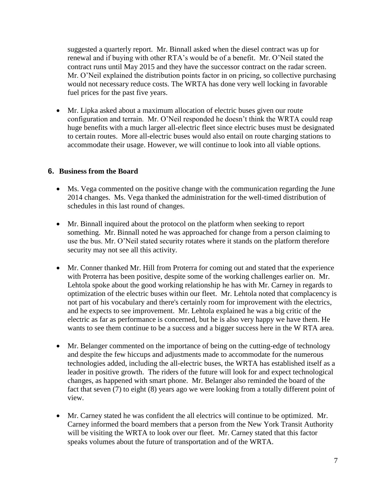suggested a quarterly report. Mr. Binnall asked when the diesel contract was up for renewal and if buying with other RTA's would be of a benefit. Mr. O'Neil stated the contract runs until May 2015 and they have the successor contract on the radar screen. Mr. O'Neil explained the distribution points factor in on pricing, so collective purchasing would not necessary reduce costs. The WRTA has done very well locking in favorable fuel prices for the past five years.

 Mr. Lipka asked about a maximum allocation of electric buses given our route configuration and terrain. Mr. O'Neil responded he doesn't think the WRTA could reap huge benefits with a much larger all-electric fleet since electric buses must be designated to certain routes. More all-electric buses would also entail on route charging stations to accommodate their usage. However, we will continue to look into all viable options.

#### **6. Business from the Board**

- Ms. Vega commented on the positive change with the communication regarding the June 2014 changes. Ms. Vega thanked the administration for the well-timed distribution of schedules in this last round of changes.
- Mr. Binnall inquired about the protocol on the platform when seeking to report something. Mr. Binnall noted he was approached for change from a person claiming to use the bus. Mr. O'Neil stated security rotates where it stands on the platform therefore security may not see all this activity.
- Mr. Conner thanked Mr. Hill from Proterra for coming out and stated that the experience with Proterra has been positive, despite some of the working challenges earlier on. Mr. Lehtola spoke about the good working relationship he has with Mr. Carney in regards to optimization of the electric buses within our fleet. Mr. Lehtola noted that complacency is not part of his vocabulary and there's certainly room for improvement with the electrics, and he expects to see improvement. Mr. Lehtola explained he was a big critic of the electric as far as performance is concerned, but he is also very happy we have them. He wants to see them continue to be a success and a bigger success here in the W RTA area.
- Mr. Belanger commented on the importance of being on the cutting-edge of technology and despite the few hiccups and adjustments made to accommodate for the numerous technologies added, including the all-electric buses, the WRTA has established itself as a leader in positive growth. The riders of the future will look for and expect technological changes, as happened with smart phone. Mr. Belanger also reminded the board of the fact that seven (7) to eight (8) years ago we were looking from a totally different point of view.
- Mr. Carney stated he was confident the all electrics will continue to be optimized. Mr. Carney informed the board members that a person from the New York Transit Authority will be visiting the WRTA to look over our fleet. Mr. Carney stated that this factor speaks volumes about the future of transportation and of the WRTA.